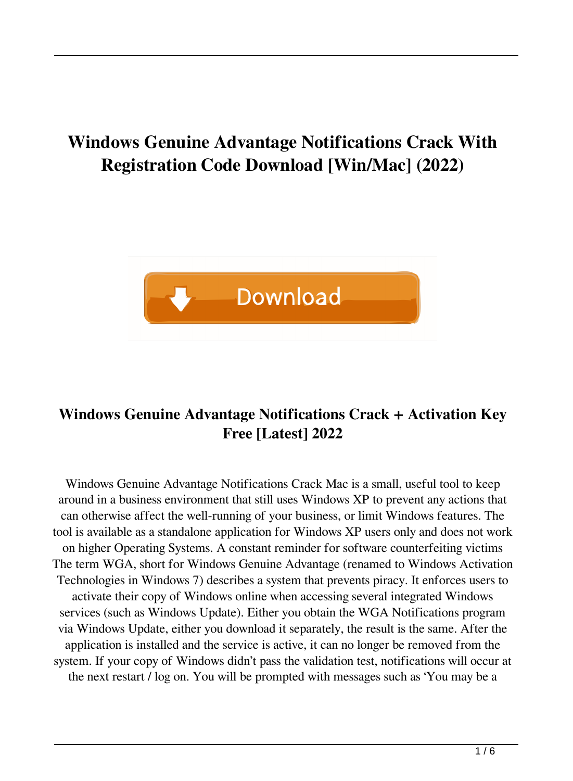# **Windows Genuine Advantage Notifications Crack With Registration Code Download [Win/Mac] (2022)**



## **Windows Genuine Advantage Notifications Crack + Activation Key Free [Latest] 2022**

Windows Genuine Advantage Notifications Crack Mac is a small, useful tool to keep around in a business environment that still uses Windows XP to prevent any actions that can otherwise affect the well-running of your business, or limit Windows features. The tool is available as a standalone application for Windows XP users only and does not work on higher Operating Systems. A constant reminder for software counterfeiting victims The term WGA, short for Windows Genuine Advantage (renamed to Windows Activation Technologies in Windows 7) describes a system that prevents piracy. It enforces users to activate their copy of Windows online when accessing several integrated Windows services (such as Windows Update). Either you obtain the WGA Notifications program via Windows Update, either you download it separately, the result is the same. After the application is installed and the service is active, it can no longer be removed from the system. If your copy of Windows didn't pass the validation test, notifications will occur at the next restart / log on. You will be prompted with messages such as 'You may be a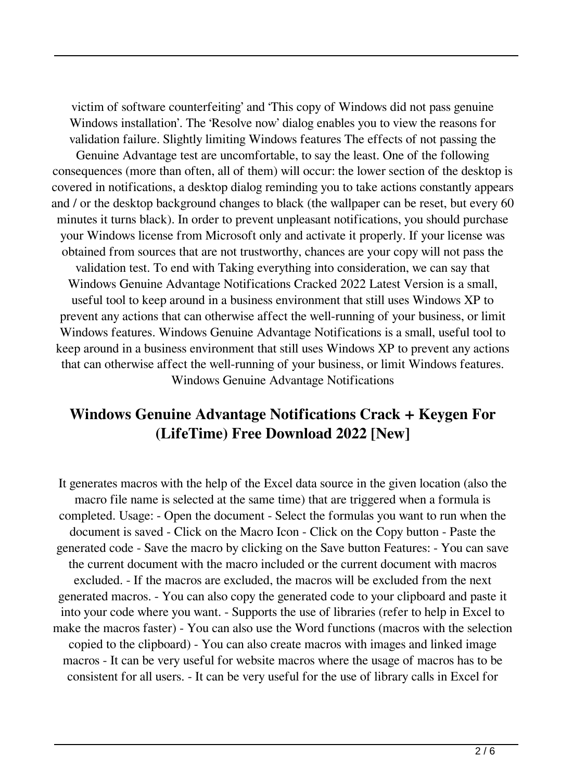victim of software counterfeiting' and 'This copy of Windows did not pass genuine Windows installation'. The 'Resolve now' dialog enables you to view the reasons for validation failure. Slightly limiting Windows features The effects of not passing the

Genuine Advantage test are uncomfortable, to say the least. One of the following consequences (more than often, all of them) will occur: the lower section of the desktop is covered in notifications, a desktop dialog reminding you to take actions constantly appears and / or the desktop background changes to black (the wallpaper can be reset, but every 60 minutes it turns black). In order to prevent unpleasant notifications, you should purchase your Windows license from Microsoft only and activate it properly. If your license was obtained from sources that are not trustworthy, chances are your copy will not pass the validation test. To end with Taking everything into consideration, we can say that Windows Genuine Advantage Notifications Cracked 2022 Latest Version is a small, useful tool to keep around in a business environment that still uses Windows XP to prevent any actions that can otherwise affect the well-running of your business, or limit Windows features. Windows Genuine Advantage Notifications is a small, useful tool to keep around in a business environment that still uses Windows XP to prevent any actions that can otherwise affect the well-running of your business, or limit Windows features. Windows Genuine Advantage Notifications

#### **Windows Genuine Advantage Notifications Crack + Keygen For (LifeTime) Free Download 2022 [New]**

It generates macros with the help of the Excel data source in the given location (also the macro file name is selected at the same time) that are triggered when a formula is completed. Usage: - Open the document - Select the formulas you want to run when the document is saved - Click on the Macro Icon - Click on the Copy button - Paste the generated code - Save the macro by clicking on the Save button Features: - You can save the current document with the macro included or the current document with macros excluded. - If the macros are excluded, the macros will be excluded from the next generated macros. - You can also copy the generated code to your clipboard and paste it into your code where you want. - Supports the use of libraries (refer to help in Excel to make the macros faster) - You can also use the Word functions (macros with the selection copied to the clipboard) - You can also create macros with images and linked image macros - It can be very useful for website macros where the usage of macros has to be consistent for all users. - It can be very useful for the use of library calls in Excel for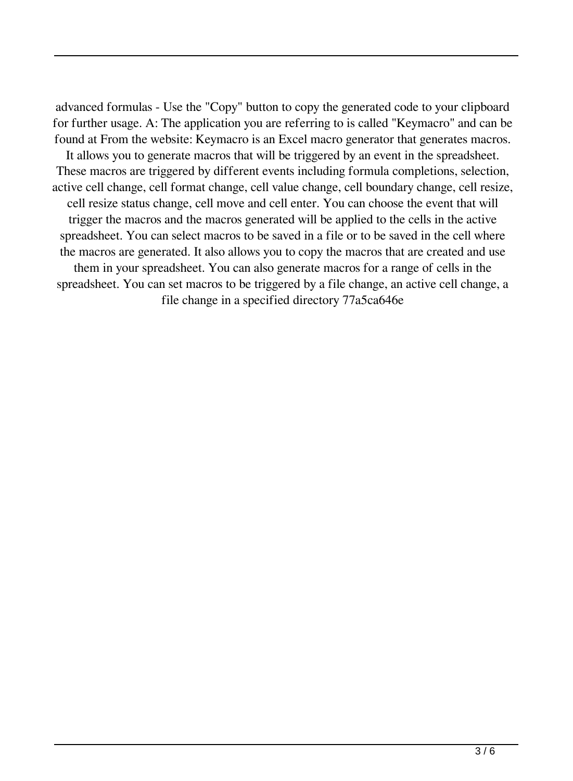advanced formulas - Use the "Copy" button to copy the generated code to your clipboard for further usage. A: The application you are referring to is called "Keymacro" and can be found at From the website: Keymacro is an Excel macro generator that generates macros. It allows you to generate macros that will be triggered by an event in the spreadsheet. These macros are triggered by different events including formula completions, selection, active cell change, cell format change, cell value change, cell boundary change, cell resize, cell resize status change, cell move and cell enter. You can choose the event that will trigger the macros and the macros generated will be applied to the cells in the active spreadsheet. You can select macros to be saved in a file or to be saved in the cell where the macros are generated. It also allows you to copy the macros that are created and use them in your spreadsheet. You can also generate macros for a range of cells in the spreadsheet. You can set macros to be triggered by a file change, an active cell change, a file change in a specified directory 77a5ca646e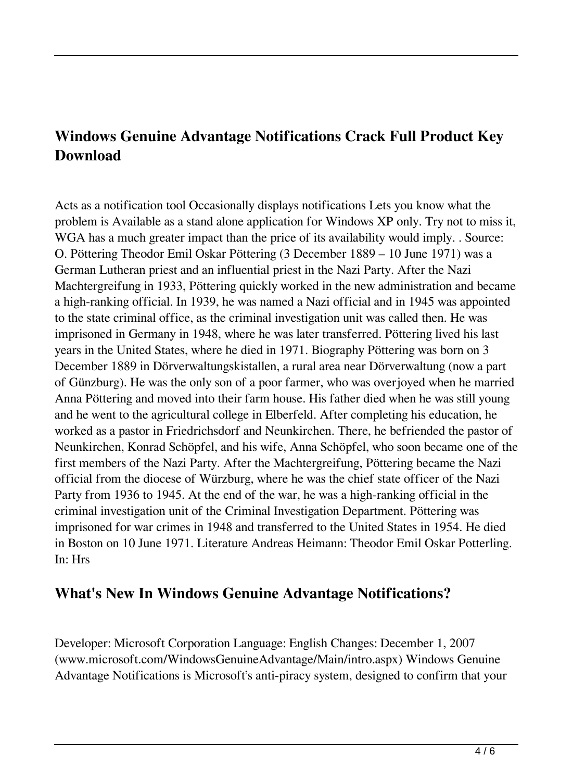### **Windows Genuine Advantage Notifications Crack Full Product Key Download**

Acts as a notification tool Occasionally displays notifications Lets you know what the problem is Available as a stand alone application for Windows XP only. Try not to miss it, WGA has a much greater impact than the price of its availability would imply. . Source: O. Pöttering Theodor Emil Oskar Pöttering (3 December 1889 – 10 June 1971) was a German Lutheran priest and an influential priest in the Nazi Party. After the Nazi Machtergreifung in 1933, Pöttering quickly worked in the new administration and became a high-ranking official. In 1939, he was named a Nazi official and in 1945 was appointed to the state criminal office, as the criminal investigation unit was called then. He was imprisoned in Germany in 1948, where he was later transferred. Pöttering lived his last years in the United States, where he died in 1971. Biography Pöttering was born on 3 December 1889 in Dörverwaltungskistallen, a rural area near Dörverwaltung (now a part of Günzburg). He was the only son of a poor farmer, who was overjoyed when he married Anna Pöttering and moved into their farm house. His father died when he was still young and he went to the agricultural college in Elberfeld. After completing his education, he worked as a pastor in Friedrichsdorf and Neunkirchen. There, he befriended the pastor of Neunkirchen, Konrad Schöpfel, and his wife, Anna Schöpfel, who soon became one of the first members of the Nazi Party. After the Machtergreifung, Pöttering became the Nazi official from the diocese of Würzburg, where he was the chief state officer of the Nazi Party from 1936 to 1945. At the end of the war, he was a high-ranking official in the criminal investigation unit of the Criminal Investigation Department. Pöttering was imprisoned for war crimes in 1948 and transferred to the United States in 1954. He died in Boston on 10 June 1971. Literature Andreas Heimann: Theodor Emil Oskar Potterling. In: Hrs

#### **What's New In Windows Genuine Advantage Notifications?**

Developer: Microsoft Corporation Language: English Changes: December 1, 2007 (www.microsoft.com/WindowsGenuineAdvantage/Main/intro.aspx) Windows Genuine Advantage Notifications is Microsoft's anti-piracy system, designed to confirm that your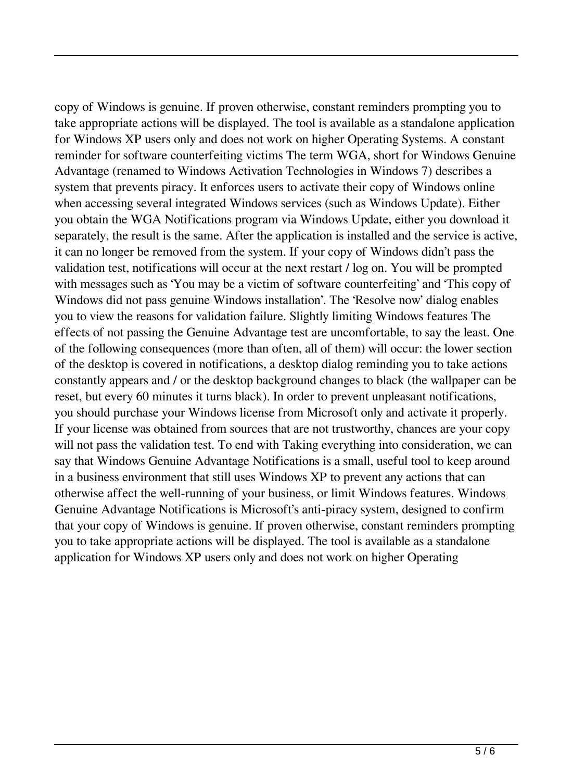copy of Windows is genuine. If proven otherwise, constant reminders prompting you to take appropriate actions will be displayed. The tool is available as a standalone application for Windows XP users only and does not work on higher Operating Systems. A constant reminder for software counterfeiting victims The term WGA, short for Windows Genuine Advantage (renamed to Windows Activation Technologies in Windows 7) describes a system that prevents piracy. It enforces users to activate their copy of Windows online when accessing several integrated Windows services (such as Windows Update). Either you obtain the WGA Notifications program via Windows Update, either you download it separately, the result is the same. After the application is installed and the service is active, it can no longer be removed from the system. If your copy of Windows didn't pass the validation test, notifications will occur at the next restart / log on. You will be prompted with messages such as 'You may be a victim of software counterfeiting' and 'This copy of Windows did not pass genuine Windows installation'. The 'Resolve now' dialog enables you to view the reasons for validation failure. Slightly limiting Windows features The effects of not passing the Genuine Advantage test are uncomfortable, to say the least. One of the following consequences (more than often, all of them) will occur: the lower section of the desktop is covered in notifications, a desktop dialog reminding you to take actions constantly appears and / or the desktop background changes to black (the wallpaper can be reset, but every 60 minutes it turns black). In order to prevent unpleasant notifications, you should purchase your Windows license from Microsoft only and activate it properly. If your license was obtained from sources that are not trustworthy, chances are your copy will not pass the validation test. To end with Taking everything into consideration, we can say that Windows Genuine Advantage Notifications is a small, useful tool to keep around in a business environment that still uses Windows XP to prevent any actions that can otherwise affect the well-running of your business, or limit Windows features. Windows Genuine Advantage Notifications is Microsoft's anti-piracy system, designed to confirm that your copy of Windows is genuine. If proven otherwise, constant reminders prompting you to take appropriate actions will be displayed. The tool is available as a standalone application for Windows XP users only and does not work on higher Operating